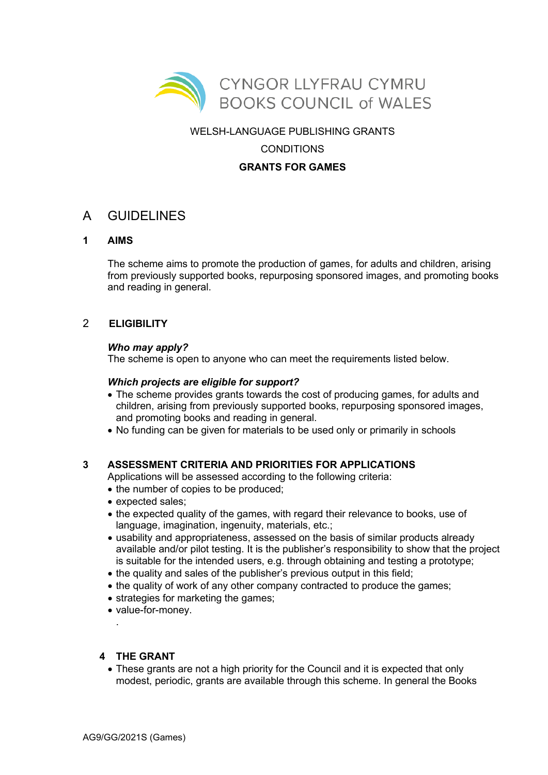

### WELSH-LANGUAGE PUBLISHING GRANTS

# **CONDITIONS**

## **GRANTS FOR GAMES**

# A GUIDELINES

## **1 AIMS**

The scheme aims to promote the production of games, for adults and children, arising from previously supported books, repurposing sponsored images, and promoting books and reading in general.

## 2 **ELIGIBILITY**

#### *Who may apply?*

The scheme is open to anyone who can meet the requirements listed below.

#### *Which projects are eligible for support?*

- The scheme provides grants towards the cost of producing games, for adults and children, arising from previously supported books, repurposing sponsored images, and promoting books and reading in general.
- No funding can be given for materials to be used only or primarily in schools

#### **3 ASSESSMENT CRITERIA AND PRIORITIES FOR APPLICATIONS**

Applications will be assessed according to the following criteria:

- the number of copies to be produced;
- expected sales;
- the expected quality of the games, with regard their relevance to books, use of language, imagination, ingenuity, materials, etc.;
- usability and appropriateness, assessed on the basis of similar products already available and/or pilot testing. It is the publisher's responsibility to show that the project is suitable for the intended users, e.g. through obtaining and testing a prototype;
- the quality and sales of the publisher's previous output in this field;
- the quality of work of any other company contracted to produce the games;
- strategies for marketing the games;
- value-for-money.

#### **4 THE GRANT**

.

• These grants are not a high priority for the Council and it is expected that only modest, periodic, grants are available through this scheme. In general the Books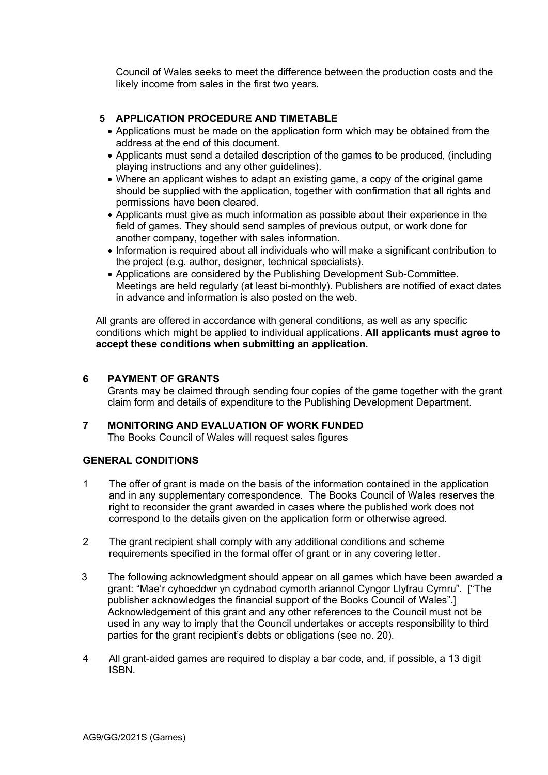Council of Wales seeks to meet the difference between the production costs and the likely income from sales in the first two years.

## **5 APPLICATION PROCEDURE AND TIMETABLE**

- Applications must be made on the application form which may be obtained from the address at the end of this document.
- Applicants must send a detailed description of the games to be produced, (including playing instructions and any other guidelines).
- Where an applicant wishes to adapt an existing game, a copy of the original game should be supplied with the application, together with confirmation that all rights and permissions have been cleared.
- Applicants must give as much information as possible about their experience in the field of games. They should send samples of previous output, or work done for another company, together with sales information.
- Information is required about all individuals who will make a significant contribution to the project (e.g. author, designer, technical specialists).
- Applications are considered by the Publishing Development Sub-Committee. Meetings are held regularly (at least bi-monthly). Publishers are notified of exact dates in advance and information is also posted on the web.

All grants are offered in accordance with general conditions, as well as any specific conditions which might be applied to individual applications. **All applicants must agree to accept these conditions when submitting an application.** 

#### **6 PAYMENT OF GRANTS**

Grants may be claimed through sending four copies of the game together with the grant claim form and details of expenditure to the Publishing Development Department.

**7 MONITORING AND EVALUATION OF WORK FUNDED** The Books Council of Wales will request sales figures

#### **GENERAL CONDITIONS**

- 1 The offer of grant is made on the basis of the information contained in the application and in any supplementary correspondence. The Books Council of Wales reserves the right to reconsider the grant awarded in cases where the published work does not correspond to the details given on the application form or otherwise agreed.
- 2 The grant recipient shall comply with any additional conditions and scheme requirements specified in the formal offer of grant or in any covering letter.
- 3 The following acknowledgment should appear on all games which have been awarded a grant: "Mae'r cyhoeddwr yn cydnabod cymorth ariannol Cyngor Llyfrau Cymru". ["The publisher acknowledges the financial support of the Books Council of Wales".] Acknowledgement of this grant and any other references to the Council must not be used in any way to imply that the Council undertakes or accepts responsibility to third parties for the grant recipient's debts or obligations (see no. 20).
- 4 All grant-aided games are required to display a bar code, and, if possible, a 13 digit ISBN.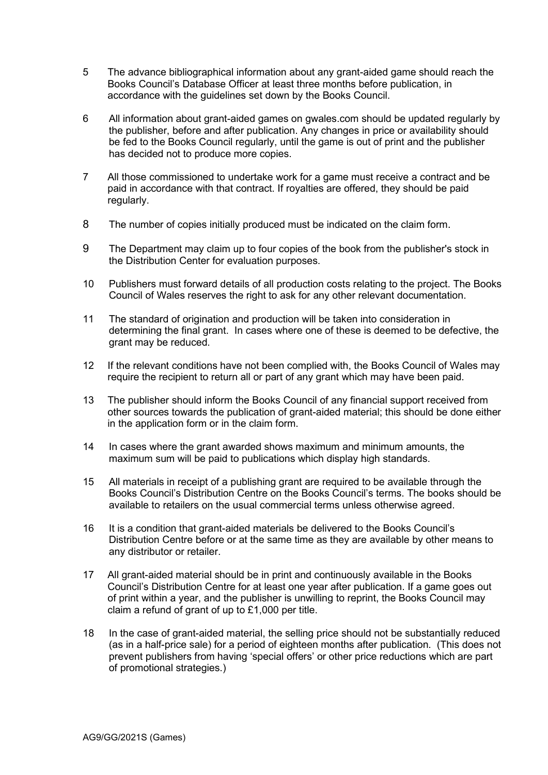- 5 The advance bibliographical information about any grant-aided game should reach the Books Council's Database Officer at least three months before publication, in accordance with the guidelines set down by the Books Council.
- 6 All information about grant-aided games on gwales.com should be updated regularly by the publisher, before and after publication. Any changes in price or availability should be fed to the Books Council regularly, until the game is out of print and the publisher has decided not to produce more copies.
- 7 All those commissioned to undertake work for a game must receive a contract and be paid in accordance with that contract. If royalties are offered, they should be paid regularly.
- 8 The number of copies initially produced must be indicated on the claim form.
- 9 The Department may claim up to four copies of the book from the publisher's stock in the Distribution Center for evaluation purposes.
- 10 Publishers must forward details of all production costs relating to the project. The Books Council of Wales reserves the right to ask for any other relevant documentation.
- 11 The standard of origination and production will be taken into consideration in determining the final grant. In cases where one of these is deemed to be defective, the grant may be reduced.
- 12 If the relevant conditions have not been complied with, the Books Council of Wales may require the recipient to return all or part of any grant which may have been paid.
- 13 The publisher should inform the Books Council of any financial support received from other sources towards the publication of grant-aided material; this should be done either in the application form or in the claim form.
- 14 In cases where the grant awarded shows maximum and minimum amounts, the maximum sum will be paid to publications which display high standards.
- 15 All materials in receipt of a publishing grant are required to be available through the Books Council's Distribution Centre on the Books Council's terms. The books should be available to retailers on the usual commercial terms unless otherwise agreed.
- 16 It is a condition that grant-aided materials be delivered to the Books Council's Distribution Centre before or at the same time as they are available by other means to any distributor or retailer.
- 17 All grant-aided material should be in print and continuously available in the Books Council's Distribution Centre for at least one year after publication. If a game goes out of print within a year, and the publisher is unwilling to reprint, the Books Council may claim a refund of grant of up to £1,000 per title.
- 18 In the case of grant-aided material, the selling price should not be substantially reduced (as in a half-price sale) for a period of eighteen months after publication. (This does not prevent publishers from having 'special offers' or other price reductions which are part of promotional strategies.)